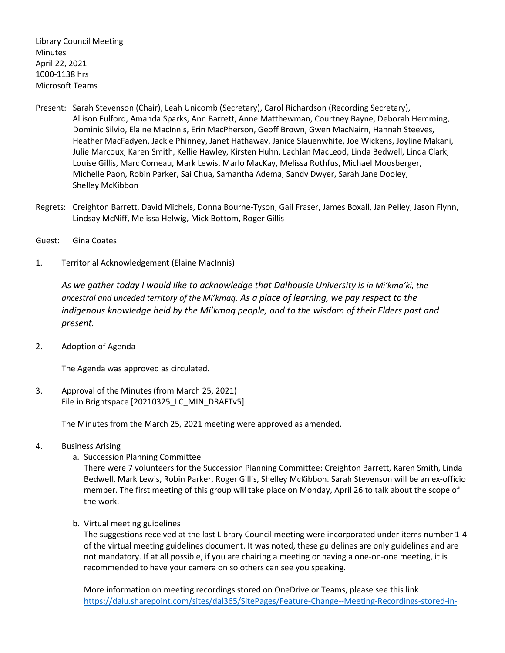Library Council Meeting **Minutes** April 22, 2021 1000-1138 hrs Microsoft Teams

- Present: Sarah Stevenson (Chair), Leah Unicomb (Secretary), Carol Richardson (Recording Secretary), Allison Fulford, Amanda Sparks, Ann Barrett, Anne Matthewman, Courtney Bayne, Deborah Hemming, Dominic Silvio, Elaine MacInnis, Erin MacPherson, Geoff Brown, Gwen MacNairn, Hannah Steeves, Heather MacFadyen, Jackie Phinney, Janet Hathaway, Janice Slauenwhite, Joe Wickens, Joyline Makani, Julie Marcoux, Karen Smith, Kellie Hawley, Kirsten Huhn, Lachlan MacLeod, Linda Bedwell, Linda Clark, Louise Gillis, Marc Comeau, Mark Lewis, Marlo MacKay, Melissa Rothfus, Michael Moosberger, Michelle Paon, Robin Parker, Sai Chua, Samantha Adema, Sandy Dwyer, Sarah Jane Dooley, Shelley McKibbon
- Regrets: Creighton Barrett, David Michels, Donna Bourne-Tyson, Gail Fraser, James Boxall, Jan Pelley, Jason Flynn, Lindsay McNiff, Melissa Helwig, Mick Bottom, Roger Gillis
- Guest: Gina Coates
- 1. Territorial Acknowledgement (Elaine MacInnis)

*As we gather today I would like to acknowledge that Dalhousie University is in Mi'kma'ki, the ancestral and unceded territory of the Mi'kmaq. As a place of learning, we pay respect to the indigenous knowledge held by the Mi'kmaq people, and to the wisdom of their Elders past and present.*

2. Adoption of Agenda

The Agenda was approved as circulated.

3. Approval of the Minutes (from March 25, 2021) File in Brightspace [20210325\_LC\_MIN\_DRAFTv5]

The Minutes from the March 25, 2021 meeting were approved as amended.

- 4. Business Arising
	- a. Succession Planning Committee

There were 7 volunteers for the Succession Planning Committee: Creighton Barrett, Karen Smith, Linda Bedwell, Mark Lewis, Robin Parker, Roger Gillis, Shelley McKibbon. Sarah Stevenson will be an ex-officio member. The first meeting of this group will take place on Monday, April 26 to talk about the scope of the work.

b. Virtual meeting guidelines

The suggestions received at the last Library Council meeting were incorporated under items number 1-4 of the virtual meeting guidelines document. It was noted, these guidelines are only guidelines and are not mandatory. If at all possible, if you are chairing a meeting or having a one-on-one meeting, it is recommended to have your camera on so others can see you speaking.

More information on meeting recordings stored on OneDrive or Teams, please see this link [https://dalu.sharepoint.com/sites/dal365/SitePages/Feature-Change--Meeting-Recordings-stored-in-](https://dalu.sharepoint.com/sites/dal365/SitePages/Feature-Change--Meeting-Recordings-stored-in-OneDrive-or-Teams.aspx)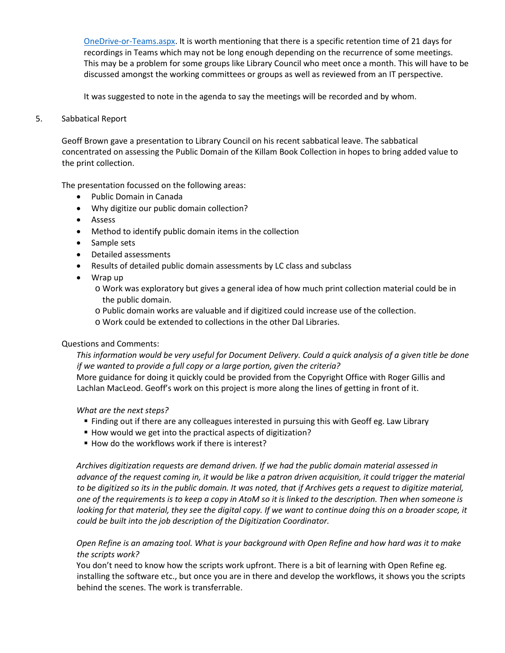[OneDrive-or-Teams.aspx.](https://dalu.sharepoint.com/sites/dal365/SitePages/Feature-Change--Meeting-Recordings-stored-in-OneDrive-or-Teams.aspx) It is worth mentioning that there is a specific retention time of 21 days for recordings in Teams which may not be long enough depending on the recurrence of some meetings. This may be a problem for some groups like Library Council who meet once a month. This will have to be discussed amongst the working committees or groups as well as reviewed from an IT perspective.

It was suggested to note in the agenda to say the meetings will be recorded and by whom.

### 5. Sabbatical Report

Geoff Brown gave a presentation to Library Council on his recent sabbatical leave. The sabbatical concentrated on assessing the Public Domain of the Killam Book Collection in hopes to bring added value to the print collection.

The presentation focussed on the following areas:

- Public Domain in Canada
- Why digitize our public domain collection?
- Assess
- Method to identify public domain items in the collection
- Sample sets
- Detailed assessments
- Results of detailed public domain assessments by LC class and subclass
- Wrap up
	- o Work was exploratory but gives a general idea of how much print collection material could be in the public domain.
	- o Public domain works are valuable and if digitized could increase use of the collection.
	- o Work could be extended to collections in the other Dal Libraries.

### Questions and Comments:

*This information would be very useful for Document Delivery. Could a quick analysis of a given title be done if we wanted to provide a full copy or a large portion, given the criteria?*

More guidance for doing it quickly could be provided from the Copyright Office with Roger Gillis and Lachlan MacLeod. Geoff's work on this project is more along the lines of getting in front of it.

*What are the next steps?* 

- Finding out if there are any colleagues interested in pursuing this with Geoff eg. Law Library
- How would we get into the practical aspects of digitization?
- How do the workflows work if there is interest?

*Archives digitization requests are demand driven. If we had the public domain material assessed in advance of the request coming in, it would be like a patron driven acquisition, it could trigger the material to be digitized so its in the public domain. It was noted, that if Archives gets a request to digitize material, one of the requirements is to keep a copy in AtoM so it is linked to the description. Then when someone is looking for that material, they see the digital copy. If we want to continue doing this on a broader scope, it could be built into the job description of the Digitization Coordinator.*

*Open Refine is an amazing tool. What is your background with Open Refine and how hard was it to make the scripts work?*

You don't need to know how the scripts work upfront. There is a bit of learning with Open Refine eg. installing the software etc., but once you are in there and develop the workflows, it shows you the scripts behind the scenes. The work is transferrable.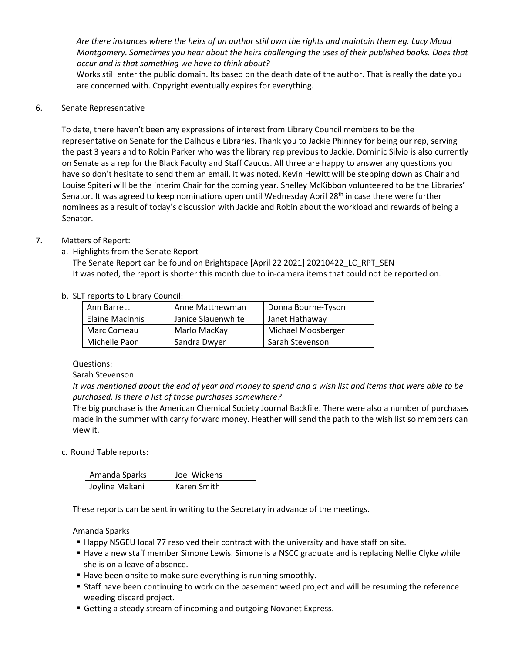*Are there instances where the heirs of an author still own the rights and maintain them eg. Lucy Maud Montgomery. Sometimes you hear about the heirs challenging the uses of their published books. Does that occur and is that something we have to think about?*

Works still enter the public domain. Its based on the death date of the author. That is really the date you are concerned with. Copyright eventually expires for everything.

6. Senate Representative

To date, there haven't been any expressions of interest from Library Council members to be the representative on Senate for the Dalhousie Libraries. Thank you to Jackie Phinney for being our rep, serving the past 3 years and to Robin Parker who was the library rep previous to Jackie. Dominic Silvio is also currently on Senate as a rep for the Black Faculty and Staff Caucus. All three are happy to answer any questions you have so don't hesitate to send them an email. It was noted, Kevin Hewitt will be stepping down as Chair and Louise Spiteri will be the interim Chair for the coming year. Shelley McKibbon volunteered to be the Libraries' Senator. It was agreed to keep nominations open until Wednesday April  $28<sup>th</sup>$  in case there were further nominees as a result of today's discussion with Jackie and Robin about the workload and rewards of being a Senator.

# 7. Matters of Report:

a. Highlights from the Senate Report

The Senate Report can be found on Brightspace [April 22 2021] 20210422\_LC\_RPT\_SEN It was noted, the report is shorter this month due to in-camera items that could not be reported on.

### b. SLT reports to Library Council:

| Ann Barrett            | Anne Matthewman    | Donna Bourne-Tyson |
|------------------------|--------------------|--------------------|
| <b>Elaine MacInnis</b> | Janice Slauenwhite | Janet Hathaway     |
| Marc Comeau            | Marlo MacKay       | Michael Moosberger |
| Michelle Paon          | Sandra Dwyer       | Sarah Stevenson    |

#### Questions:

### Sarah Stevenson

*It was mentioned about the end of year and money to spend and a wish list and items that were able to be purchased. Is there a list of those purchases somewhere?*

The big purchase is the American Chemical Society Journal Backfile. There were also a number of purchases made in the summer with carry forward money. Heather will send the path to the wish list so members can view it.

c. Round Table reports:

| Amanda Sparks  | Joe Wickens        |
|----------------|--------------------|
| Joyline Makani | <b>Karen Smith</b> |

These reports can be sent in writing to the Secretary in advance of the meetings.

### Amanda Sparks

- Happy NSGEU local 77 resolved their contract with the university and have staff on site.
- Have a new staff member Simone Lewis. Simone is a NSCC graduate and is replacing Nellie Clyke while she is on a leave of absence.
- Have been onsite to make sure everything is running smoothly.
- Staff have been continuing to work on the basement weed project and will be resuming the reference weeding discard project.
- Getting a steady stream of incoming and outgoing Novanet Express.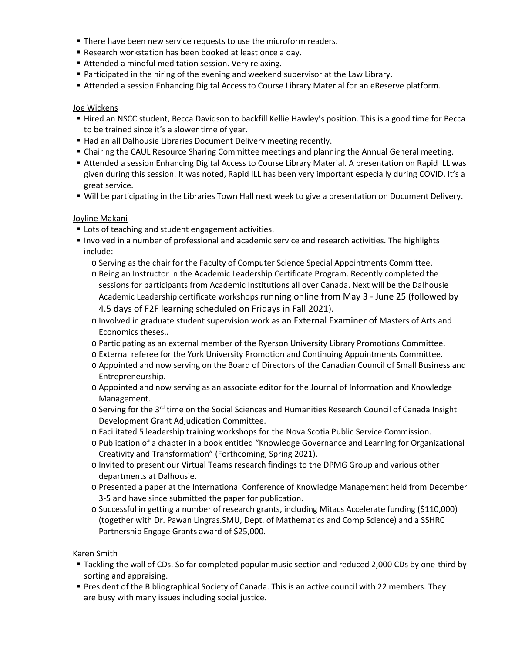- **There have been new service requests to use the microform readers.**
- Research workstation has been booked at least once a day.
- Attended a mindful meditation session. Very relaxing.
- **Participated in the hiring of the evening and weekend supervisor at the Law Library.**
- Attended a session Enhancing Digital Access to Course Library Material for an eReserve platform.

### Joe Wickens

- Hired an NSCC student, Becca Davidson to backfill Kellie Hawley's position. This is a good time for Becca to be trained since it's a slower time of year.
- Had an all Dalhousie Libraries Document Delivery meeting recently.
- Chairing the CAUL Resource Sharing Committee meetings and planning the Annual General meeting.
- Attended a session Enhancing Digital Access to Course Library Material. A presentation on Rapid ILL was given during this session. It was noted, Rapid ILL has been very important especially during COVID. It's a great service.
- Will be participating in the Libraries Town Hall next week to give a presentation on Document Delivery.

# Joyline Makani

- **Lots of teaching and student engagement activities.**
- Involved in a number of professional and academic service and research activities. The highlights include:
	- o Serving as the chair for the Faculty of Computer Science Special Appointments Committee.
	- o Being an Instructor in the Academic Leadership Certificate Program. Recently completed the sessions for participants from Academic Institutions all over Canada. Next will be the Dalhousie Academic Leadership certificate workshops running online from May 3 - June 25 (followed by 4.5 days of F2F learning scheduled on Fridays in Fall 2021).
	- o Involved in graduate student supervision work as an External Examiner of Masters of Arts and Economics theses..
	- o Participating as an external member of the Ryerson University Library Promotions Committee.
	- o External referee for the York University Promotion and Continuing Appointments Committee.
	- o Appointed and now serving on the Board of Directors of the Canadian Council of Small Business and Entrepreneurship.
	- o Appointed and now serving as an associate editor for the Journal of Information and Knowledge Management.
	- o Serving for the 3rd time on the Social Sciences and Humanities Research Council of Canada Insight Development Grant Adjudication Committee.
	- o Facilitated 5 leadership training workshops for the Nova Scotia Public Service Commission.
	- o Publication of a chapter in a book entitled "Knowledge Governance and Learning for Organizational Creativity and Transformation" (Forthcoming, Spring 2021).
	- o Invited to present our Virtual Teams research findings to the DPMG Group and various other departments at Dalhousie.
	- o Presented a paper at the International Conference of Knowledge Management held from December 3-5 and have since submitted the paper for publication.
	- o Successful in getting a number of research grants, including Mitacs Accelerate funding (\$110,000) (together with Dr. Pawan Lingras.SMU, Dept. of Mathematics and Comp Science) and a SSHRC Partnership Engage Grants award of \$25,000.

Karen Smith

- Tackling the wall of CDs. So far completed popular music section and reduced 2,000 CDs by one-third by sorting and appraising.
- President of the Bibliographical Society of Canada. This is an active council with 22 members. They are busy with many issues including social justice.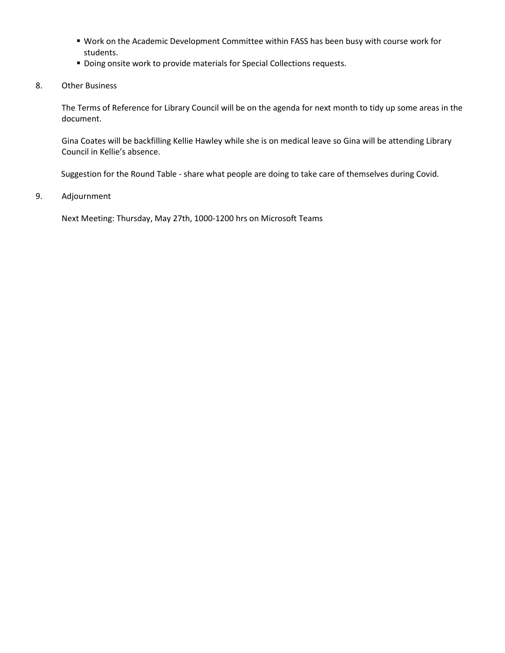- Work on the Academic Development Committee within FASS has been busy with course work for students.
- **Doing onsite work to provide materials for Special Collections requests.**
- 8. Other Business

The Terms of Reference for Library Council will be on the agenda for next month to tidy up some areas in the document.

Gina Coates will be backfilling Kellie Hawley while she is on medical leave so Gina will be attending Library Council in Kellie's absence.

Suggestion for the Round Table - share what people are doing to take care of themselves during Covid.

9. Adjournment

Next Meeting: Thursday, May 27th, 1000-1200 hrs on Microsoft Teams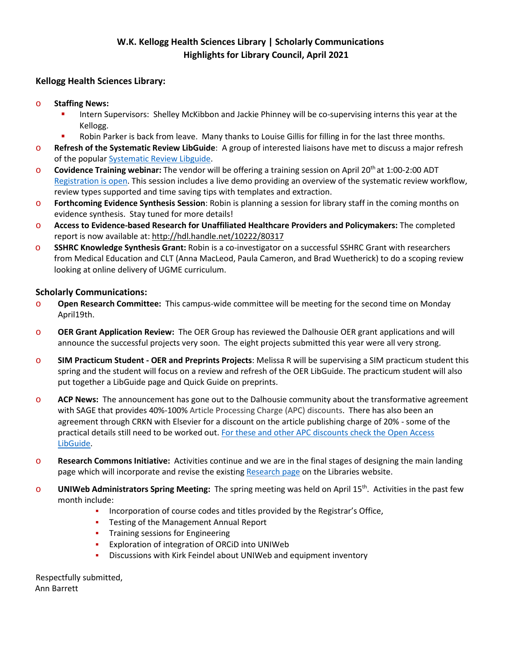# **W.K. Kellogg Health Sciences Library | Scholarly Communications Highlights for Library Council, April 2021**

# **Kellogg Health Sciences Library:**

- o **Staffing News:** 
	- Intern Supervisors: Shelley McKibbon and Jackie Phinney will be co-supervising interns this year at the Kellogg.
	- **•** Robin Parker is back from leave. Many thanks to Louise Gillis for filling in for the last three months.
- o **Refresh of the Systematic Review LibGuide**: A group of interested liaisons have met to discuss a major refresh of the popular [Systematic Review Libguide.](https://dal.ca.libguides.com/systematicreviews)
- **Covidence Training webinar:** The vendor will be offering a training session on April 20<sup>th</sup> at 1:00-2:00 ADT [Registration](https://register.gotowebinar.com/rt/6758389427022755598) is open. This session includes a live demo providing an overview of the systematic review workflow, review types supported and time saving tips with templates and extraction.
- o **Forthcoming Evidence Synthesis Session**: Robin is planning a session for library staff in the coming months on evidence synthesis. Stay tuned for more details!
- o **Access to Evidence-based Research for Unaffiliated Healthcare Providers and Policymakers:** The completed report is now available at:<http://hdl.handle.net/10222/80317>
- o **SSHRC Knowledge Synthesis Grant:** Robin is a co-investigator on a successful SSHRC Grant with researchers from Medical Education and CLT (Anna MacLeod, Paula Cameron, and Brad Wuetherick) to do a scoping review looking at online delivery of UGME curriculum.

# **Scholarly Communications:**

- o **Open Research Committee:** This campus-wide committee will be meeting for the second time on Monday April19th.
- o **OER Grant Application Review:** The OER Group has reviewed the Dalhousie OER grant applications and will announce the successful projects very soon. The eight projects submitted this year were all very strong.
- o **SIM Practicum Student - OER and Preprints Projects**: Melissa R will be supervising a SIM practicum student this spring and the student will focus on a review and refresh of the OER LibGuide. The practicum student will also put together a LibGuide page and Quick Guide on preprints.
- o **ACP News:** The announcement has gone out to the Dalhousie community about the transformative agreement with SAGE that provides 40%-100% Article Processing Charge (APC) discounts. There has also been an agreement through CRKN with Elsevier for a discount on the article publishing charge of 20% - some of the practical details still need to be worked out[. For these and other APC discounts check the Open Access](https://dal.ca.libguides.com/open_access/apc)  [LibGuide.](https://dal.ca.libguides.com/open_access/apc)
- o **Research Commons Initiative:** Activities continue and we are in the final stages of designing the main landing page which will incorporate and revise the existing [Research page](https://libraries.dal.ca/research.html) on the Libraries website.
- o **UNIWeb Administrators Spring Meeting:** The spring meeting was held on April 15th. Activities in the past few month include:
	- **•** Incorporation of course codes and titles provided by the Registrar's Office,
	- **Testing of the Management Annual Report**
	- **•** Training sessions for Engineering
	- Exploration of integration of ORCiD into UNIWeb
	- Discussions with Kirk Feindel about UNIWeb and equipment inventory

Respectfully submitted, Ann Barrett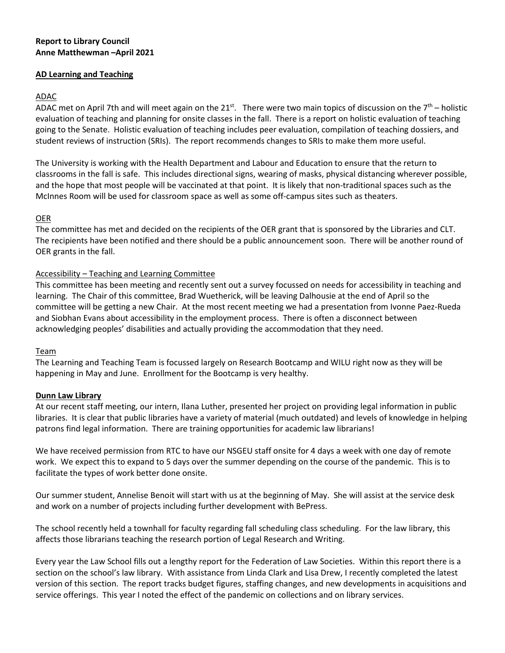### **Report to Library Council Anne Matthewman –April 2021**

### **AD Learning and Teaching**

# ADAC

ADAC met on April 7th and will meet again on the 21st. There were two main topics of discussion on the  $7<sup>th</sup>$  – holistic evaluation of teaching and planning for onsite classes in the fall. There is a report on holistic evaluation of teaching going to the Senate. Holistic evaluation of teaching includes peer evaluation, compilation of teaching dossiers, and student reviews of instruction (SRIs). The report recommends changes to SRIs to make them more useful.

The University is working with the Health Department and Labour and Education to ensure that the return to classrooms in the fall is safe. This includes directional signs, wearing of masks, physical distancing wherever possible, and the hope that most people will be vaccinated at that point. It is likely that non-traditional spaces such as the McInnes Room will be used for classroom space as well as some off-campus sites such as theaters.

# OER

The committee has met and decided on the recipients of the OER grant that is sponsored by the Libraries and CLT. The recipients have been notified and there should be a public announcement soon. There will be another round of OER grants in the fall.

# Accessibility – Teaching and Learning Committee

This committee has been meeting and recently sent out a survey focussed on needs for accessibility in teaching and learning. The Chair of this committee, Brad Wuetherick, will be leaving Dalhousie at the end of April so the committee will be getting a new Chair. At the most recent meeting we had a presentation from Ivonne Paez-Rueda and Siobhan Evans about accessibility in the employment process. There is often a disconnect between acknowledging peoples' disabilities and actually providing the accommodation that they need.

### Team

The Learning and Teaching Team is focussed largely on Research Bootcamp and WILU right now as they will be happening in May and June. Enrollment for the Bootcamp is very healthy.

### **Dunn Law Library**

At our recent staff meeting, our intern, Ilana Luther, presented her project on providing legal information in public libraries. It is clear that public libraries have a variety of material (much outdated) and levels of knowledge in helping patrons find legal information. There are training opportunities for academic law librarians!

We have received permission from RTC to have our NSGEU staff onsite for 4 days a week with one day of remote work. We expect this to expand to 5 days over the summer depending on the course of the pandemic. This is to facilitate the types of work better done onsite.

Our summer student, Annelise Benoit will start with us at the beginning of May. She will assist at the service desk and work on a number of projects including further development with BePress.

The school recently held a townhall for faculty regarding fall scheduling class scheduling. For the law library, this affects those librarians teaching the research portion of Legal Research and Writing.

Every year the Law School fills out a lengthy report for the Federation of Law Societies. Within this report there is a section on the school's law library. With assistance from Linda Clark and Lisa Drew, I recently completed the latest version of this section. The report tracks budget figures, staffing changes, and new developments in acquisitions and service offerings. This year I noted the effect of the pandemic on collections and on library services.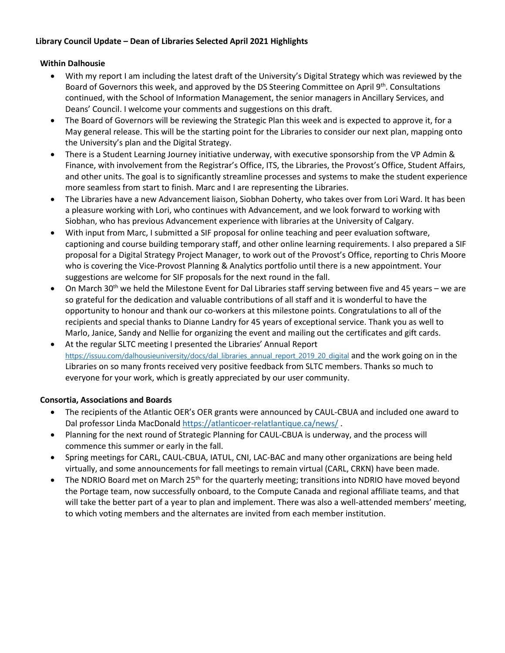# **Library Council Update – Dean of Libraries Selected April 2021 Highlights**

# **Within Dalhousie**

- With my report I am including the latest draft of the University's Digital Strategy which was reviewed by the Board of Governors this week, and approved by the DS Steering Committee on April 9<sup>th</sup>. Consultations continued, with the School of Information Management, the senior managers in Ancillary Services, and Deans' Council. I welcome your comments and suggestions on this draft.
- The Board of Governors will be reviewing the Strategic Plan this week and is expected to approve it, for a May general release. This will be the starting point for the Libraries to consider our next plan, mapping onto the University's plan and the Digital Strategy.
- There is a Student Learning Journey initiative underway, with executive sponsorship from the VP Admin & Finance, with involvement from the Registrar's Office, ITS, the Libraries, the Provost's Office, Student Affairs, and other units. The goal is to significantly streamline processes and systems to make the student experience more seamless from start to finish. Marc and I are representing the Libraries.
- The Libraries have a new Advancement liaison, Siobhan Doherty, who takes over from Lori Ward. It has been a pleasure working with Lori, who continues with Advancement, and we look forward to working with Siobhan, who has previous Advancement experience with libraries at the University of Calgary.
- With input from Marc, I submitted a SIF proposal for online teaching and peer evaluation software, captioning and course building temporary staff, and other online learning requirements. I also prepared a SIF proposal for a Digital Strategy Project Manager, to work out of the Provost's Office, reporting to Chris Moore who is covering the Vice-Provost Planning & Analytics portfolio until there is a new appointment. Your suggestions are welcome for SIF proposals for the next round in the fall.
- On March 30<sup>th</sup> we held the Milestone Event for Dal Libraries staff serving between five and 45 years we are so grateful for the dedication and valuable contributions of all staff and it is wonderful to have the opportunity to honour and thank our co-workers at this milestone points. Congratulations to all of the recipients and special thanks to Dianne Landry for 45 years of exceptional service. Thank you as well to Marlo, Janice, Sandy and Nellie for organizing the event and mailing out the certificates and gift cards.
- At the regular SLTC meeting I presented the Libraries' Annual Report [https://issuu.com/dalhousieuniversity/docs/dal\\_libraries\\_annual\\_report\\_2019\\_20\\_digital](https://issuu.com/dalhousieuniversity/docs/dal_libraries_annual_report_2019_20_digital) and the work going on in the Libraries on so many fronts received very positive feedback from SLTC members. Thanks so much to everyone for your work, which is greatly appreciated by our user community.

# **Consortia, Associations and Boards**

- The recipients of the Atlantic OER's OER grants were announced by CAUL-CBUA and included one award to Dal professor Linda MacDonald<https://atlanticoer-relatlantique.ca/news/> .
- Planning for the next round of Strategic Planning for CAUL-CBUA is underway, and the process will commence this summer or early in the fall.
- Spring meetings for CARL, CAUL-CBUA, IATUL, CNI, LAC-BAC and many other organizations are being held virtually, and some announcements for fall meetings to remain virtual (CARL, CRKN) have been made.
- The NDRIO Board met on March 25<sup>th</sup> for the quarterly meeting; transitions into NDRIO have moved beyond the Portage team, now successfully onboard, to the Compute Canada and regional affiliate teams, and that will take the better part of a year to plan and implement. There was also a well-attended members' meeting, to which voting members and the alternates are invited from each member institution.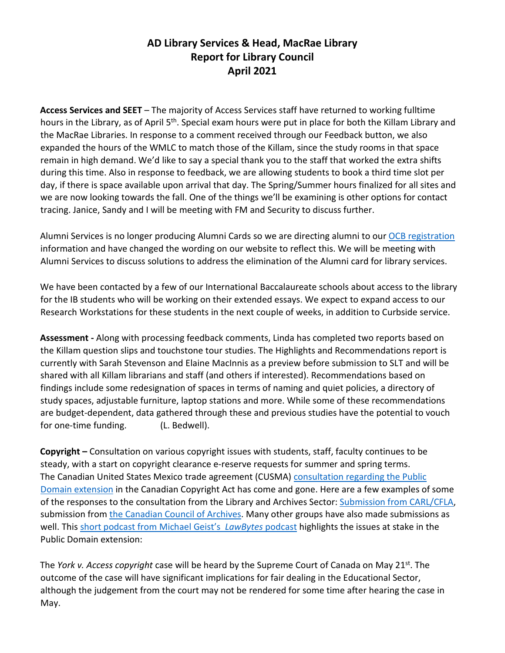# **AD Library Services & Head, MacRae Library Report for Library Council April 2021**

**Access Services and SEET** – The majority of Access Services staff have returned to working fulltime hours in the Library, as of April 5<sup>th</sup>. Special exam hours were put in place for both the Killam Library and the MacRae Libraries. In response to a comment received through our Feedback button, we also expanded the hours of the WMLC to match those of the Killam, since the study rooms in that space remain in high demand. We'd like to say a special thank you to the staff that worked the extra shifts during this time. Also in response to feedback, we are allowing students to book a third time slot per day, if there is space available upon arrival that day. The Spring/Summer hours finalized for all sites and we are now looking towards the fall. One of the things we'll be examining is other options for contact tracing. Janice, Sandy and I will be meeting with FM and Security to discuss further.

Alumni Services is no longer producing Alumni Cards so we are directing alumni to our [OCB registration](https://libraries.dal.ca/borrow/library-cards/ocb-cards.html) information and have changed the wording on our website to reflect this. We will be meeting with Alumni Services to discuss solutions to address the elimination of the Alumni card for library services.

We have been contacted by a few of our International Baccalaureate schools about access to the library for the IB students who will be working on their extended essays. We expect to expand access to our Research Workstations for these students in the next couple of weeks, in addition to Curbside service.

**Assessment -** Along with processing feedback comments, Linda has completed two reports based on the Killam question slips and touchstone tour studies. The Highlights and Recommendations report is currently with Sarah Stevenson and Elaine MacInnis as a preview before submission to SLT and will be shared with all Killam librarians and staff (and others if interested). Recommendations based on findings include some redesignation of spaces in terms of naming and quiet policies, a directory of study spaces, adjustable furniture, laptop stations and more. While some of these recommendations are budget-dependent, data gathered through these and previous studies have the potential to vouch for one-time funding. (L. Bedwell).

**Copyright –** Consultation on various copyright issues with students, staff, faculty continues to be steady, with a start on copyright clearance e-reserve requests for summer and spring terms. The Canadian United States Mexico trade agreement (CUSMA) [consultation regarding the Public](https://www.ic.gc.ca/eic/site/693.nsf/eng/00188.html)  [Domain extension](https://www.ic.gc.ca/eic/site/693.nsf/eng/00188.html) in the Canadian Copyright Act has come and gone. Here are a few examples of some of the responses to the consultation from the Library and Archives Sector: [Submission from CARL/CFLA,](https://www.carl-abrc.ca/wp-content/uploads/2021/03/CFLA-CARL_Joint_Response_to_Consultation_on_Copyright_Term_Extension.pdf) submission fro[m the Canadian Council of Archives.](https://archivists.ca/News/10248717) Many other groups have also made submissions as well. This [short podcast from Michael Geist's](https://www.michaelgeist.ca/podcast/episode-78-jennifer-jenkins-on-what-copyright-term-extension-could-mean-for-canada/) *LawBytes* podcast highlights the issues at stake in the Public Domain extension:

The *York v. Access copyright* case will be heard by the Supreme Court of Canada on May 21st. The outcome of the case will have significant implications for fair dealing in the Educational Sector, although the judgement from the court may not be rendered for some time after hearing the case in May.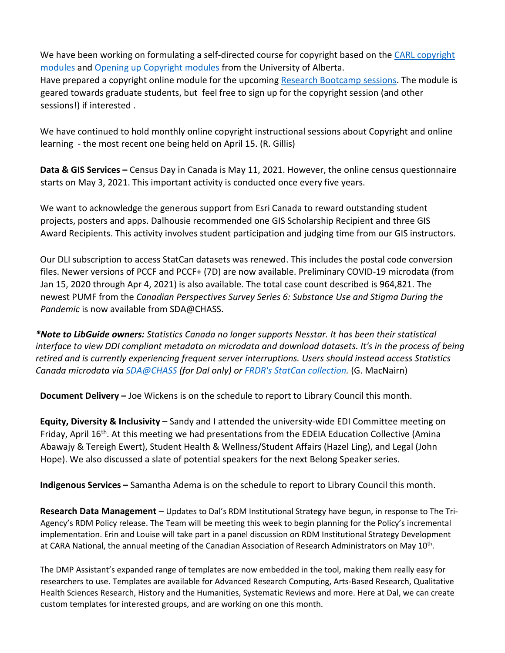We have been working on formulating a self-directed course for copyright based on the CARL copyright [modules](https://www.carl-abrc.ca/influencing-policy/copyright/opencopyrightcourse/) and [Opening up Copyright modules](https://sites.library.ualberta.ca/copyright/) from the University of Alberta.

Have prepared a copyright online module for the upcoming [Research Bootcamp sessions.](https://dal.ca.libguides.com/c.php?g=257260&p=5174508#s-lg-box-16271571) The module is geared towards graduate students, but feel free to sign up for the copyright session (and other sessions!) if interested .

We have continued to hold monthly online copyright instructional sessions about Copyright and online learning - the most recent one being held on April 15. (R. Gillis)

**Data & GIS Services –** Census Day in Canada is May 11, 2021. However, the online census questionnaire starts on May 3, 2021. This important activity is conducted once every five years.

We want to acknowledge the generous support from Esri Canada to reward outstanding student projects, posters and apps. Dalhousie recommended one GIS Scholarship Recipient and three GIS Award Recipients. This activity involves student participation and judging time from our GIS instructors.

Our DLI subscription to access StatCan datasets was renewed. This includes the postal code conversion files. Newer versions of PCCF and PCCF+ (7D) are now available. Preliminary COVID-19 microdata (from Jan 15, 2020 through Apr 4, 2021) is also available. The total case count described is 964,821. The newest PUMF from the *Canadian Perspectives Survey Series 6: Substance Use and Stigma During the Pandemic* is now available from SDA@CHASS.

*\*Note to LibGuide owners: Statistics Canada no longer supports Nesstar. It has been their statistical interface to view DDI compliant metadata on microdata and download datasets. It's in the process of being retired and is currently experiencing frequent server interruptions. Users should instead access Statistics Canada microdata via [SDA@CHASS](https://dal.ca.libguides.com/sdachass) (for Dal only) or [FRDR's StatCan](https://www.frdr-dfdr.ca/discover/html/discovery-ui.html?q=*&Collection=Statistics%20Canada%20Open%20License) collection.* (G. MacNairn)

**Document Delivery –** Joe Wickens is on the schedule to report to Library Council this month.

**Equity, Diversity & Inclusivity –** Sandy and I attended the university-wide EDI Committee meeting on Friday, April 16<sup>th</sup>. At this meeting we had presentations from the EDEIA Education Collective (Amina Abawajy & Tereigh Ewert), Student Health & Wellness/Student Affairs (Hazel Ling), and Legal (John Hope). We also discussed a slate of potential speakers for the next Belong Speaker series.

**Indigenous Services –** Samantha Adema is on the schedule to report to Library Council this month.

**Research Data Management** – Updates to Dal's RDM Institutional Strategy have begun, in response to The Tri-Agency's RDM Policy release. The Team will be meeting this week to begin planning for the Policy's incremental implementation. Erin and Louise will take part in a panel discussion on RDM Institutional Strategy Development at CARA National, the annual meeting of the Canadian Association of Research Administrators on May 10<sup>th</sup>.

The DMP Assistant's expanded range of templates are now embedded in the tool, making them really easy for researchers to use. Templates are available for Advanced Research Computing, Arts-Based Research, Qualitative Health Sciences Research, History and the Humanities, Systematic Reviews and more. Here at Dal, we can create custom templates for interested groups, and are working on one this month.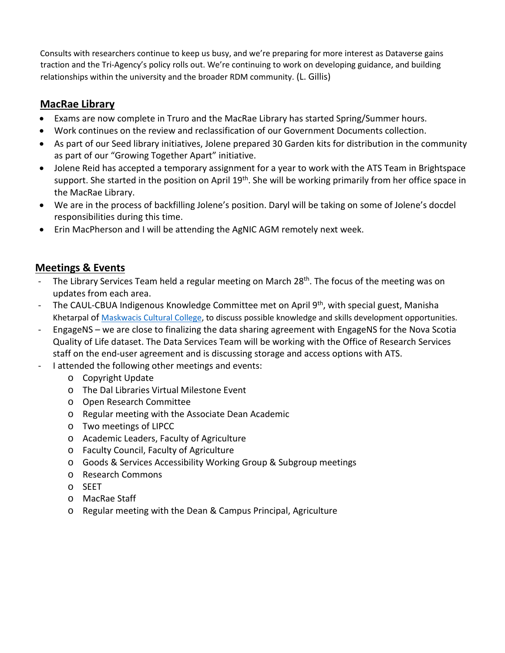Consults with researchers continue to keep us busy, and we're preparing for more interest as Dataverse gains traction and the Tri-Agency's policy rolls out. We're continuing to work on developing guidance, and building relationships within the university and the broader RDM community. (L. Gillis)

# **MacRae Library**

- Exams are now complete in Truro and the MacRae Library has started Spring/Summer hours.
- Work continues on the review and reclassification of our Government Documents collection.
- As part of our Seed library initiatives, Jolene prepared 30 Garden kits for distribution in the community as part of our "Growing Together Apart" initiative.
- Jolene Reid has accepted a temporary assignment for a year to work with the ATS Team in Brightspace support. She started in the position on April 19<sup>th</sup>. She will be working primarily from her office space in the MacRae Library.
- We are in the process of backfilling Jolene's position. Daryl will be taking on some of Jolene's docdel responsibilities during this time.
- Erin MacPherson and I will be attending the AgNIC AGM remotely next week.

# **Meetings & Events**

- The Library Services Team held a regular meeting on March 28<sup>th</sup>. The focus of the meeting was on updates from each area.
- The CAUL-CBUA Indigenous Knowledge Committee met on April  $9<sup>th</sup>$ , with special guest, Manisha Khetarpal of [Maskwacis Cultural College,](http://www.mccedu.ca/) to discuss possible knowledge and skills development opportunities.
- EngageNS we are close to finalizing the data sharing agreement with EngageNS for the Nova Scotia Quality of Life dataset. The Data Services Team will be working with the Office of Research Services staff on the end-user agreement and is discussing storage and access options with ATS.
- I attended the following other meetings and events:
	- o Copyright Update
	- o The Dal Libraries Virtual Milestone Event
	- o Open Research Committee
	- o Regular meeting with the Associate Dean Academic
	- o Two meetings of LIPCC
	- o Academic Leaders, Faculty of Agriculture
	- o Faculty Council, Faculty of Agriculture
	- o Goods & Services Accessibility Working Group & Subgroup meetings
	- o Research Commons
	- o SEET
	- o MacRae Staff
	- o Regular meeting with the Dean & Campus Principal, Agriculture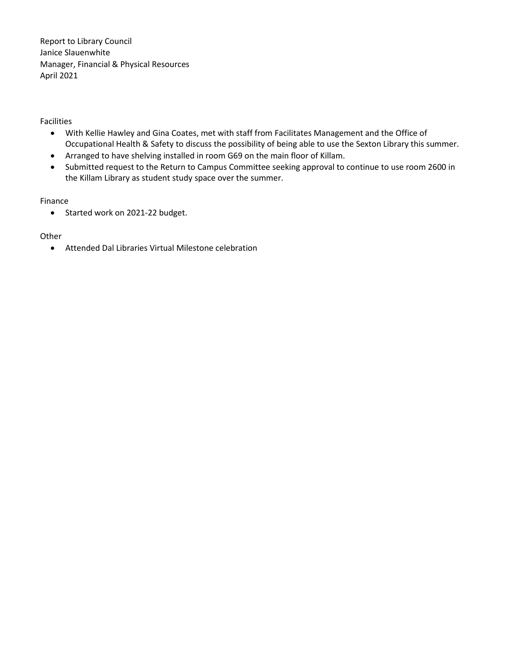Report to Library Council Janice Slauenwhite Manager, Financial & Physical Resources April 2021

Facilities

- With Kellie Hawley and Gina Coates, met with staff from Facilitates Management and the Office of Occupational Health & Safety to discuss the possibility of being able to use the Sexton Library this summer.
- Arranged to have shelving installed in room G69 on the main floor of Killam.
- Submitted request to the Return to Campus Committee seeking approval to continue to use room 2600 in the Killam Library as student study space over the summer.

### Finance

• Started work on 2021-22 budget.

# Other

• Attended Dal Libraries Virtual Milestone celebration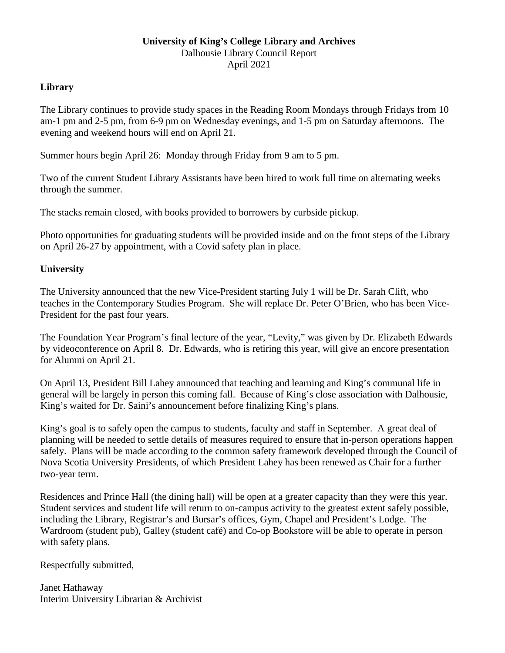# **University of King's College Library and Archives** Dalhousie Library Council Report April 2021

# **Library**

The Library continues to provide study spaces in the Reading Room Mondays through Fridays from 10 am-1 pm and 2-5 pm, from 6-9 pm on Wednesday evenings, and 1-5 pm on Saturday afternoons. The evening and weekend hours will end on April 21.

Summer hours begin April 26: Monday through Friday from 9 am to 5 pm.

Two of the current Student Library Assistants have been hired to work full time on alternating weeks through the summer.

The stacks remain closed, with books provided to borrowers by curbside pickup.

Photo opportunities for graduating students will be provided inside and on the front steps of the Library on April 26-27 by appointment, with a Covid safety plan in place.

# **University**

The University announced that the new Vice-President starting July 1 will be Dr. Sarah Clift, who teaches in the Contemporary Studies Program. She will replace Dr. Peter O'Brien, who has been Vice-President for the past four years.

The Foundation Year Program's final lecture of the year, "Levity," was given by Dr. Elizabeth Edwards by videoconference on April 8. Dr. Edwards, who is retiring this year, will give an encore presentation for Alumni on April 21.

On April 13, President Bill Lahey announced that teaching and learning and King's communal life in general will be largely in person this coming fall. Because of King's close association with Dalhousie, King's waited for Dr. Saini's announcement before finalizing King's plans.

King's goal is to safely open the campus to students, faculty and staff in September. A great deal of planning will be needed to settle details of measures required to ensure that in-person operations happen safely. Plans will be made according to the common safety framework developed through the Council of Nova Scotia University Presidents, of which President Lahey has been renewed as Chair for a further two-year term.

Residences and Prince Hall (the dining hall) will be open at a greater capacity than they were this year. Student services and student life will return to on-campus activity to the greatest extent safely possible, including the Library, Registrar's and Bursar's offices, Gym, Chapel and President's Lodge. The Wardroom (student pub), Galley (student café) and Co-op Bookstore will be able to operate in person with safety plans.

Respectfully submitted,

Janet Hathaway Interim University Librarian & Archivist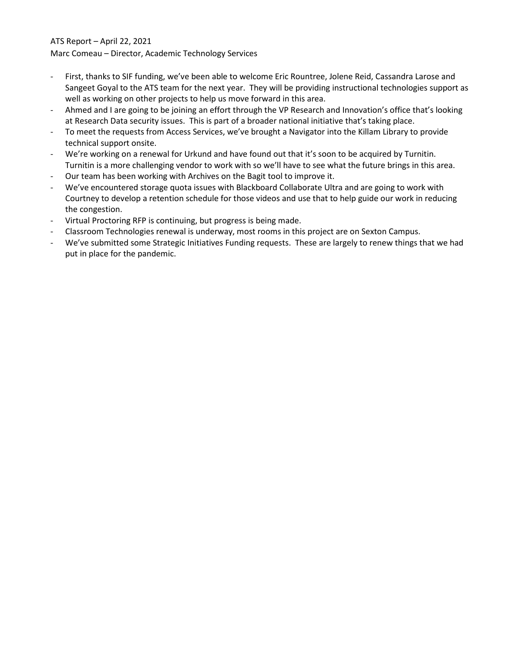# ATS Report – April 22, 2021

Marc Comeau – Director, Academic Technology Services

- First, thanks to SIF funding, we've been able to welcome Eric Rountree, Jolene Reid, Cassandra Larose and Sangeet Goyal to the ATS team for the next year. They will be providing instructional technologies support as well as working on other projects to help us move forward in this area.
- Ahmed and I are going to be joining an effort through the VP Research and Innovation's office that's looking at Research Data security issues. This is part of a broader national initiative that's taking place.
- To meet the requests from Access Services, we've brought a Navigator into the Killam Library to provide technical support onsite.
- We're working on a renewal for Urkund and have found out that it's soon to be acquired by Turnitin. Turnitin is a more challenging vendor to work with so we'll have to see what the future brings in this area.
- Our team has been working with Archives on the Bagit tool to improve it.
- We've encountered storage quota issues with Blackboard Collaborate Ultra and are going to work with Courtney to develop a retention schedule for those videos and use that to help guide our work in reducing the congestion.
- Virtual Proctoring RFP is continuing, but progress is being made.
- Classroom Technologies renewal is underway, most rooms in this project are on Sexton Campus.
- We've submitted some Strategic Initiatives Funding requests. These are largely to renew things that we had put in place for the pandemic.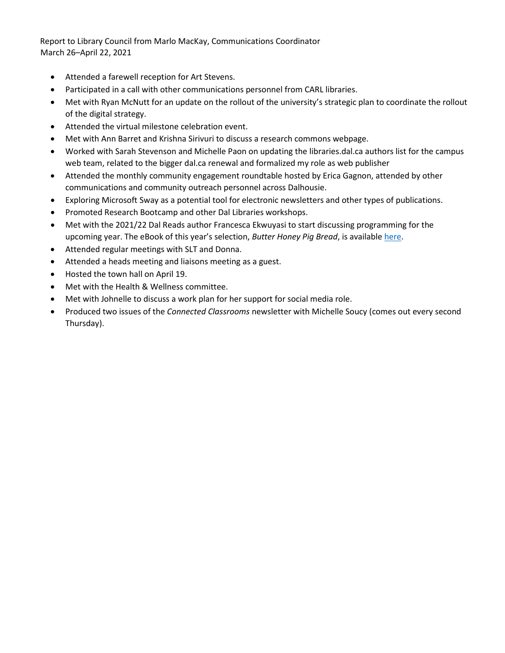Report to Library Council from Marlo MacKay, Communications Coordinator March 26–April 22, 2021

- Attended a farewell reception for Art Stevens.
- Participated in a call with other communications personnel from CARL libraries.
- Met with Ryan McNutt for an update on the rollout of the university's strategic plan to coordinate the rollout of the digital strategy.
- Attended the virtual milestone celebration event.
- Met with Ann Barret and Krishna Sirivuri to discuss a research commons webpage.
- Worked with Sarah Stevenson and Michelle Paon on updating the libraries.dal.ca authors list for the campus web team, related to the bigger dal.ca renewal and formalized my role as web publisher
- Attended the monthly community engagement roundtable hosted by Erica Gagnon, attended by other communications and community outreach personnel across Dalhousie.
- Exploring Microsoft Sway as a potential tool for electronic newsletters and other types of publications.
- Promoted Research Bootcamp and other Dal Libraries workshops.
- Met with the 2021/22 Dal Reads author Francesca Ekwuyasi to start discussing programming for the upcoming year. The eBook of this year's selection, *Butter Honey Pig Bread*, is available [here.](https://novanet-primo.hosted.exlibrisgroup.com/primo-explore/fulldisplay?docid=NOVANET_ALEPH006753154&vid=DAL&search_scope=default_scope&tab=default_tab&lang=en_US&context=L&isFrbr=true)
- Attended regular meetings with SLT and Donna.
- Attended a heads meeting and liaisons meeting as a guest.
- Hosted the town hall on April 19.
- Met with the Health & Wellness committee.
- Met with Johnelle to discuss a work plan for her support for social media role.
- Produced two issues of the *Connected Classrooms* newsletter with Michelle Soucy (comes out every second Thursday).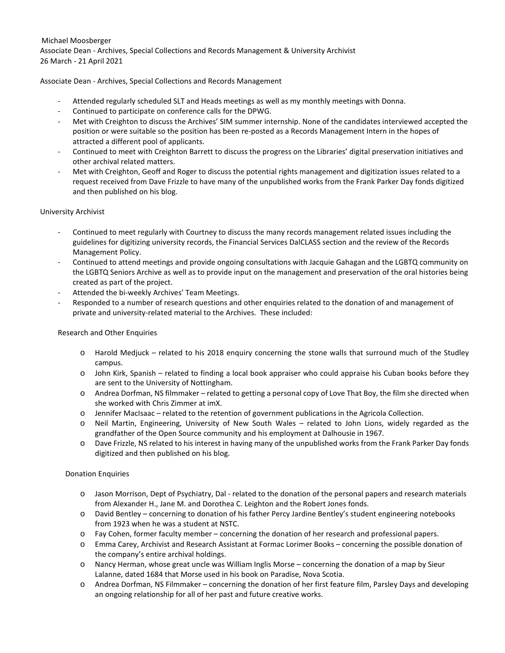#### Michael Moosberger Associate Dean - Archives, Special Collections and Records Management & University Archivist 26 March - 21 April 2021

#### Associate Dean - Archives, Special Collections and Records Management

- Attended regularly scheduled SLT and Heads meetings as well as my monthly meetings with Donna.
- Continued to participate on conference calls for the DPWG.
- Met with Creighton to discuss the Archives' SIM summer internship. None of the candidates interviewed accepted the position or were suitable so the position has been re-posted as a Records Management Intern in the hopes of attracted a different pool of applicants.
- Continued to meet with Creighton Barrett to discuss the progress on the Libraries' digital preservation initiatives and other archival related matters.
- Met with Creighton, Geoff and Roger to discuss the potential rights management and digitization issues related to a request received from Dave Frizzle to have many of the unpublished works from the Frank Parker Day fonds digitized and then published on his blog.

#### University Archivist

- Continued to meet regularly with Courtney to discuss the many records management related issues including the guidelines for digitizing university records, the Financial Services DalCLASS section and the review of the Records Management Policy.
- Continued to attend meetings and provide ongoing consultations with Jacquie Gahagan and the LGBTQ community on the LGBTQ Seniors Archive as well as to provide input on the management and preservation of the oral histories being created as part of the project.
- Attended the bi-weekly Archives' Team Meetings.
- Responded to a number of research questions and other enquiries related to the donation of and management of private and university-related material to the Archives. These included:

#### Research and Other Enquiries

- o Harold Medjuck related to his 2018 enquiry concerning the stone walls that surround much of the Studley campus.
- o John Kirk, Spanish related to finding a local book appraiser who could appraise his Cuban books before they are sent to the University of Nottingham.
- o Andrea Dorfman, NS filmmaker related to getting a personal copy of Love That Boy, the film she directed when she worked with Chris Zimmer at imX.
- o Jennifer MacIsaac related to the retention of government publications in the Agricola Collection.
- o Neil Martin, Engineering, University of New South Wales related to John Lions, widely regarded as the grandfather of the Open Source community and his employment at Dalhousie in 1967.
- o Dave Frizzle, NS related to his interest in having many of the unpublished works from the Frank Parker Day fonds digitized and then published on his blog.

#### Donation Enquiries

- o Jason Morrison, Dept of Psychiatry, Dal related to the donation of the personal papers and research materials from Alexander H., Jane M. and Dorothea C. Leighton and the Robert Jones fonds.
- o David Bentley concerning to donation of his father Percy Jardine Bentley's student engineering notebooks from 1923 when he was a student at NSTC.
- o Fay Cohen, former faculty member concerning the donation of her research and professional papers.
- o Emma Carey, Archivist and Research Assistant at Formac Lorimer Books concerning the possible donation of the company's entire archival holdings.
- o Nancy Herman, whose great uncle was William Inglis Morse concerning the donation of a map by Sieur Lalanne, dated 1684 that Morse used in his book on Paradise, Nova Scotia.
- o Andrea Dorfman, NS Filmmaker concerning the donation of her first feature film, Parsley Days and developing an ongoing relationship for all of her past and future creative works.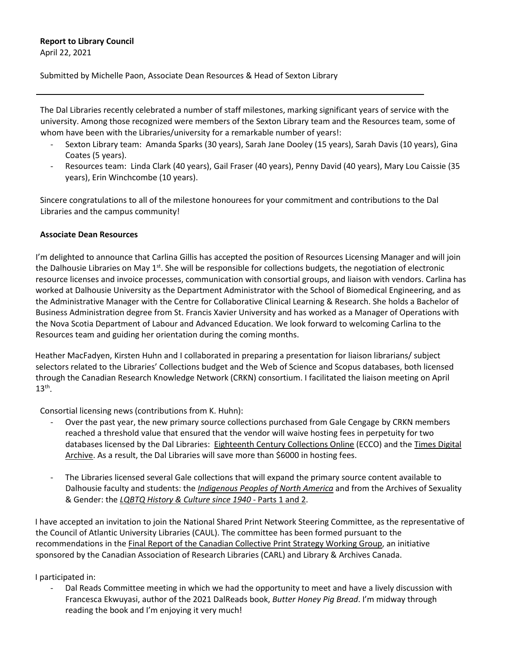# **Report to Library Council**

April 22, 2021

Submitted by Michelle Paon, Associate Dean Resources & Head of Sexton Library

The Dal Libraries recently celebrated a number of staff milestones, marking significant years of service with the university. Among those recognized were members of the Sexton Library team and the Resources team, some of whom have been with the Libraries/university for a remarkable number of years!:

- Sexton Library team: Amanda Sparks (30 years), Sarah Jane Dooley (15 years), Sarah Davis (10 years), Gina Coates (5 years).
- Resources team: Linda Clark (40 years), Gail Fraser (40 years), Penny David (40 years), Mary Lou Caissie (35 years), Erin Winchcombe (10 years).

Sincere congratulations to all of the milestone honourees for your commitment and contributions to the Dal Libraries and the campus community!

# **Associate Dean Resources**

I'm delighted to announce that Carlina Gillis has accepted the position of Resources Licensing Manager and will join the Dalhousie Libraries on May  $1<sup>st</sup>$ . She will be responsible for collections budgets, the negotiation of electronic resource licenses and invoice processes, communication with consortial groups, and liaison with vendors. Carlina has worked at Dalhousie University as the Department Administrator with the School of Biomedical Engineering, and as the Administrative Manager with the Centre for Collaborative Clinical Learning & Research. She holds a Bachelor of Business Administration degree from St. Francis Xavier University and has worked as a Manager of Operations with the Nova Scotia Department of Labour and Advanced Education. We look forward to welcoming Carlina to the Resources team and guiding her orientation during the coming months.

Heather MacFadyen, Kirsten Huhn and I collaborated in preparing a presentation for liaison librarians/ subject selectors related to the Libraries' Collections budget and the Web of Science and Scopus databases, both licensed through the Canadian Research Knowledge Network (CRKN) consortium. I facilitated the liaison meeting on April  $13<sup>th</sup>$ .

Consortial licensing news (contributions from K. Huhn):

- Over the past year, the new primary source collections purchased from Gale Cengage by CRKN members reached a threshold value that ensured that the vendor will waive hosting fees in perpetuity for two databases licensed by the Dal Libraries: [Eighteenth Century Collections Online](https://dal.ca.libguides.com/az.php?q=Eighteenth%20Century%20Collections%20Online) (ECCO) and the Times Digital [Archive.](https://dal.ca.libguides.com/az.php?q=Times%20Digital%20Archive) As a result, the Dal Libraries will save more than \$6000 in hosting fees.
- The Libraries licensed several Gale collections that will expand the primary source content available to Dalhousie faculty and students: the *Indigenous [Peoples of North America](https://dal.ca.libguides.com/az.php?q=gale%20indigenous%20peoples%20of%20north%20america)* and from the Archives of Sexuality & Gender: the *[LQBTQ History & Culture since 1940](https://dal.ca.libguides.com/az.php?q=lgbtq)* - Parts 1 and 2.

I have accepted an invitation to join the National Shared Print Network Steering Committee, as the representative of the Council of Atlantic University Libraries (CAUL). The committee has been formed pursuant to the recommendations in th[e Final Report of the Canadian Collective Print Strategy Working Group,](https://www.carl-abrc.ca/wp-content/uploads/2020/09/CCPSWG_final_report_EN.pdf) an initiative sponsored by the Canadian Association of Research Libraries (CARL) and Library & Archives Canada.

# I participated in:

- Dal Reads Committee meeting in which we had the opportunity to meet and have a lively discussion with Francesca Ekwuyasi, author of the 2021 DalReads book, *Butter Honey Pig Bread*. I'm midway through reading the book and I'm enjoying it very much!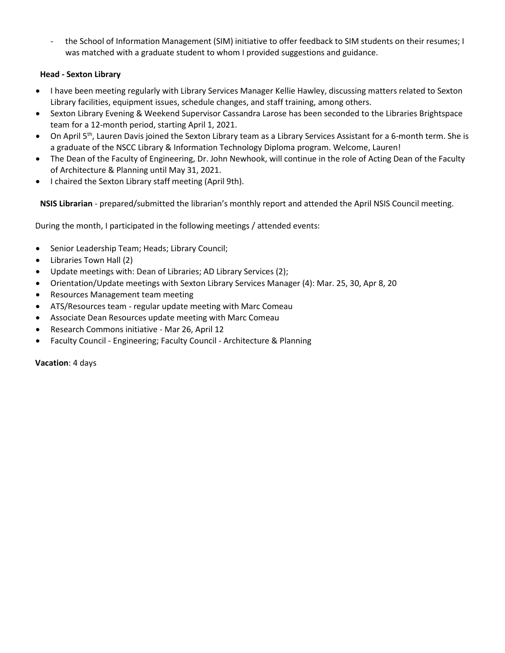- the School of Information Management (SIM) initiative to offer feedback to SIM students on their resumes; I was matched with a graduate student to whom I provided suggestions and guidance.

# **Head - Sexton Library**

- I have been meeting regularly with Library Services Manager Kellie Hawley, discussing matters related to Sexton Library facilities, equipment issues, schedule changes, and staff training, among others.
- Sexton Library Evening & Weekend Supervisor Cassandra Larose has been seconded to the Libraries Brightspace team for a 12-month period, starting April 1, 2021.
- On April 5<sup>th</sup>, Lauren Davis joined the Sexton Library team as a Library Services Assistant for a 6-month term. She is a graduate of the NSCC Library & Information Technology Diploma program. Welcome, Lauren!
- The Dean of the Faculty of Engineering, Dr. John Newhook, will continue in the role of Acting Dean of the Faculty of Architecture & Planning until May 31, 2021.
- I chaired the Sexton Library staff meeting (April 9th).

**NSIS Librarian** - prepared/submitted the librarian's monthly report and attended the April NSIS Council meeting.

During the month, I participated in the following meetings / attended events:

- Senior Leadership Team; Heads; Library Council;
- Libraries Town Hall (2)
- Update meetings with: Dean of Libraries; AD Library Services (2);
- Orientation/Update meetings with Sexton Library Services Manager (4): Mar. 25, 30, Apr 8, 20
- Resources Management team meeting
- ATS/Resources team regular update meeting with Marc Comeau
- Associate Dean Resources update meeting with Marc Comeau
- Research Commons initiative Mar 26, April 12
- Faculty Council Engineering; Faculty Council Architecture & Planning

**Vacation**: 4 days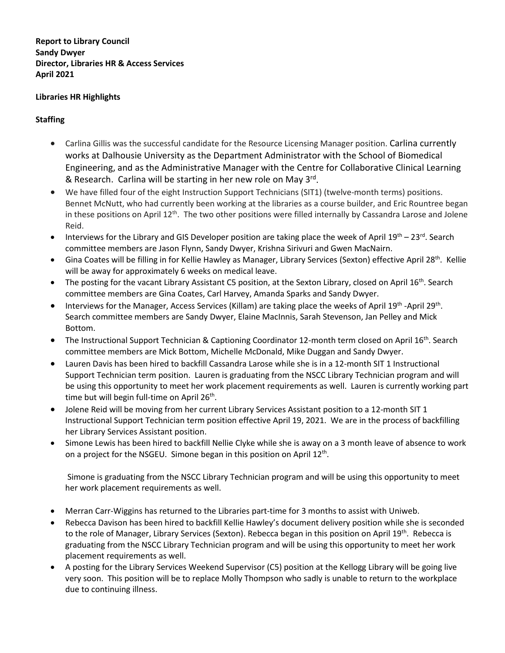**Report to Library Council Sandy Dwyer Director, Libraries HR & Access Services April 2021**

# **Libraries HR Highlights**

# **Staffing**

- Carlina Gillis was the successful candidate for the Resource Licensing Manager position. Carlina currently works at Dalhousie University as the Department Administrator with the School of Biomedical Engineering, and as the Administrative Manager with the Centre for Collaborative Clinical Learning & Research. Carlina will be starting in her new role on May 3rd.
- We have filled four of the eight Instruction Support Technicians (SIT1) (twelve-month terms) positions. Bennet McNutt, who had currently been working at the libraries as a course builder, and Eric Rountree began in these positions on April  $12<sup>th</sup>$ . The two other positions were filled internally by Cassandra Larose and Jolene Reid.
- Interviews for the Library and GIS Developer position are taking place the week of April  $19^{th} 23^{rd}$ . Search committee members are Jason Flynn, Sandy Dwyer, Krishna Sirivuri and Gwen MacNairn.
- Gina Coates will be filling in for Kellie Hawley as Manager, Library Services (Sexton) effective April 28<sup>th</sup>. Kellie will be away for approximately 6 weeks on medical leave.
- The posting for the vacant Library Assistant C5 position, at the Sexton Library, closed on April 16<sup>th</sup>. Search committee members are Gina Coates, Carl Harvey, Amanda Sparks and Sandy Dwyer.
- Interviews for the Manager, Access Services (Killam) are taking place the weeks of April  $19^{th}$  -April  $29^{th}$ . Search committee members are Sandy Dwyer, Elaine MacInnis, Sarah Stevenson, Jan Pelley and Mick Bottom.
- The Instructional Support Technician & Captioning Coordinator 12-month term closed on April  $16^{th}$ . Search committee members are Mick Bottom, Michelle McDonald, Mike Duggan and Sandy Dwyer.
- Lauren Davis has been hired to backfill Cassandra Larose while she is in a 12-month SIT 1 Instructional Support Technician term position. Lauren is graduating from the NSCC Library Technician program and will be using this opportunity to meet her work placement requirements as well. Lauren is currently working part time but will begin full-time on April 26<sup>th</sup>.
- Jolene Reid will be moving from her current Library Services Assistant position to a 12-month SIT 1 Instructional Support Technician term position effective April 19, 2021. We are in the process of backfilling her Library Services Assistant position.
- Simone Lewis has been hired to backfill Nellie Clyke while she is away on a 3 month leave of absence to work on a project for the NSGEU. Simone began in this position on April  $12<sup>th</sup>$ .

Simone is graduating from the NSCC Library Technician program and will be using this opportunity to meet her work placement requirements as well.

- Merran Carr-Wiggins has returned to the Libraries part-time for 3 months to assist with Uniweb.
- Rebecca Davison has been hired to backfill Kellie Hawley's document delivery position while she is seconded to the role of Manager, Library Services (Sexton). Rebecca began in this position on April 19th. Rebecca is graduating from the NSCC Library Technician program and will be using this opportunity to meet her work placement requirements as well.
- A posting for the Library Services Weekend Supervisor (C5) position at the Kellogg Library will be going live very soon. This position will be to replace Molly Thompson who sadly is unable to return to the workplace due to continuing illness.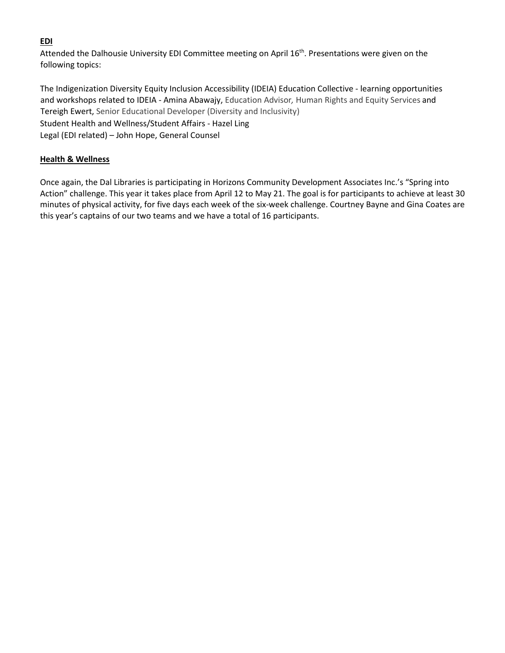# **EDI**

Attended the Dalhousie University EDI Committee meeting on April 16<sup>th</sup>. Presentations were given on the following topics:

The Indigenization Diversity Equity Inclusion Accessibility (IDEIA) Education Collective - learning opportunities and workshops related to IDEIA - Amina Abawajy, Education Advisor*,* Human Rights and Equity Services and Tereigh Ewert, Senior Educational Developer (Diversity and Inclusivity) Student Health and Wellness/Student Affairs - Hazel Ling Legal (EDI related) – John Hope, General Counsel

# **Health & Wellness**

Once again, the Dal Libraries is participating in Horizons Community Development Associates Inc.'s "Spring into Action" challenge. This year it takes place from April 12 to May 21. The goal is for participants to achieve at least 30 minutes of physical activity, for five days each week of the six-week challenge. Courtney Bayne and Gina Coates are this year's captains of our two teams and we have a total of 16 participants.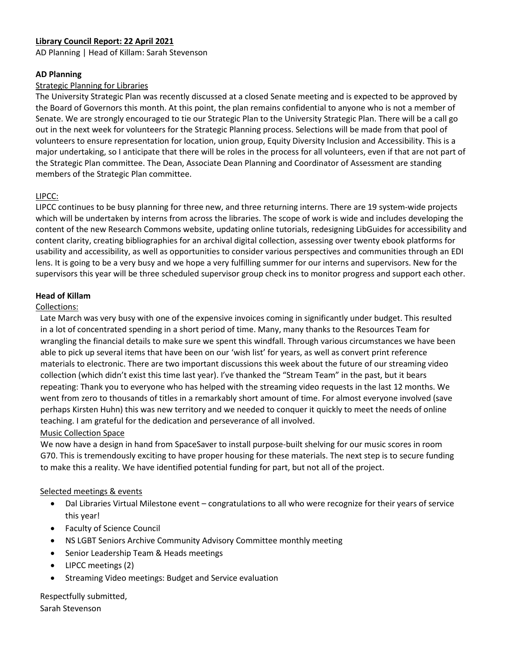# **Library Council Report: 22 April 2021**

AD Planning | Head of Killam: Sarah Stevenson

### **AD Planning**

### Strategic Planning for Libraries

The University Strategic Plan was recently discussed at a closed Senate meeting and is expected to be approved by the Board of Governors this month. At this point, the plan remains confidential to anyone who is not a member of Senate. We are strongly encouraged to tie our Strategic Plan to the University Strategic Plan. There will be a call go out in the next week for volunteers for the Strategic Planning process. Selections will be made from that pool of volunteers to ensure representation for location, union group, Equity Diversity Inclusion and Accessibility. This is a major undertaking, so I anticipate that there will be roles in the process for all volunteers, even if that are not part of the Strategic Plan committee. The Dean, Associate Dean Planning and Coordinator of Assessment are standing members of the Strategic Plan committee.

# LIPCC:

LIPCC continues to be busy planning for three new, and three returning interns. There are 19 system-wide projects which will be undertaken by interns from across the libraries. The scope of work is wide and includes developing the content of the new Research Commons website, updating online tutorials, redesigning LibGuides for accessibility and content clarity, creating bibliographies for an archival digital collection, assessing over twenty ebook platforms for usability and accessibility, as well as opportunities to consider various perspectives and communities through an EDI lens. It is going to be a very busy and we hope a very fulfilling summer for our interns and supervisors. New for the supervisors this year will be three scheduled supervisor group check ins to monitor progress and support each other.

### **Head of Killam**

### Collections:

Late March was very busy with one of the expensive invoices coming in significantly under budget. This resulted in a lot of concentrated spending in a short period of time. Many, many thanks to the Resources Team for wrangling the financial details to make sure we spent this windfall. Through various circumstances we have been able to pick up several items that have been on our 'wish list' for years, as well as convert print reference materials to electronic. There are two important discussions this week about the future of our streaming video collection (which didn't exist this time last year). I've thanked the "Stream Team" in the past, but it bears repeating: Thank you to everyone who has helped with the streaming video requests in the last 12 months. We went from zero to thousands of titles in a remarkably short amount of time. For almost everyone involved (save perhaps Kirsten Huhn) this was new territory and we needed to conquer it quickly to meet the needs of online teaching. I am grateful for the dedication and perseverance of all involved.

Music Collection Space

We now have a design in hand from SpaceSaver to install purpose-built shelving for our music scores in room G70. This is tremendously exciting to have proper housing for these materials. The next step is to secure funding to make this a reality. We have identified potential funding for part, but not all of the project.

### Selected meetings & events

- Dal Libraries Virtual Milestone event congratulations to all who were recognize for their years of service this year!
- Faculty of Science Council
- NS LGBT Seniors Archive Community Advisory Committee monthly meeting
- Senior Leadership Team & Heads meetings
- LIPCC meetings (2)
- Streaming Video meetings: Budget and Service evaluation

Respectfully submitted, Sarah Stevenson